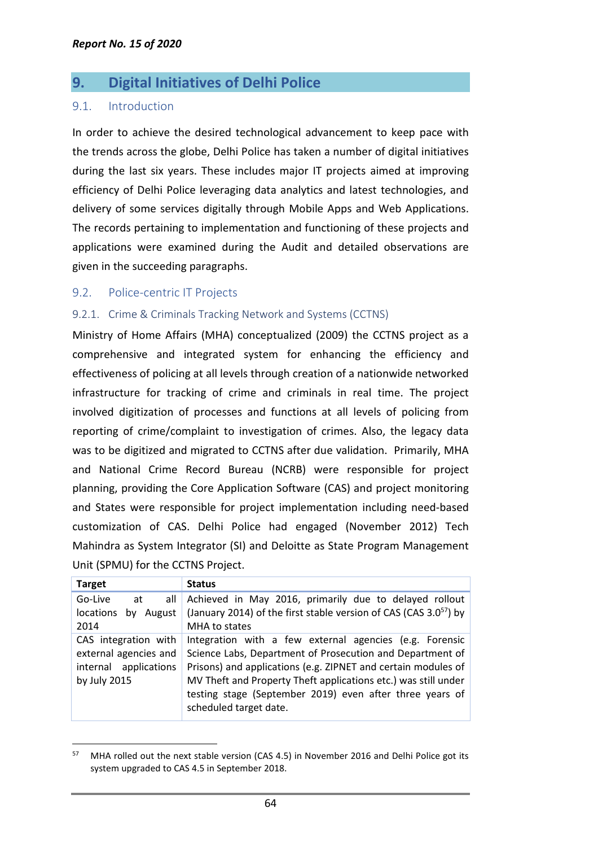# **9. Digital Initiatives of Delhi Police**

## 9.1. Introduction

In order to achieve the desired technological advancement to keep pace with the trends across the globe, Delhi Police has taken a number of digital initiatives during the last six years. These includes major IT projects aimed at improving efficiency of Delhi Police leveraging data analytics and latest technologies, and delivery of some services digitally through Mobile Apps and Web Applications. The records pertaining to implementation and functioning of these projects and applications were examined during the Audit and detailed observations are given in the succeeding paragraphs.

## 9.2. Police-centric IT Projects

 $\overline{a}$ 

## 9.2.1. Crime & Criminals Tracking Network and Systems (CCTNS)

Ministry of Home Affairs (MHA) conceptualized (2009) the CCTNS project as a comprehensive and integrated system for enhancing the efficiency and effectiveness of policing at all levels through creation of a nationwide networked infrastructure for tracking of crime and criminals in real time. The project involved digitization of processes and functions at all levels of policing from reporting of crime/complaint to investigation of crimes. Also, the legacy data was to be digitized and migrated to CCTNS after due validation. Primarily, MHA and National Crime Record Bureau (NCRB) were responsible for project planning, providing the Core Application Software (CAS) and project monitoring and States were responsible for project implementation including need-based customization of CAS. Delhi Police had engaged (November 2012) Tech Mahindra as System Integrator (SI) and Deloitte as State Program Management Unit (SPMU) for the CCTNS Project.

| <b>Target</b>          | <b>Status</b>                                                          |
|------------------------|------------------------------------------------------------------------|
| Go-Live<br>all<br>at   | Achieved in May 2016, primarily due to delayed rollout                 |
| locations<br>by August | (January 2014) of the first stable version of CAS (CAS $3.0^{57}$ ) by |
| 2014                   | MHA to states                                                          |
| CAS integration with   | Integration with a few external agencies (e.g. Forensic                |
| external agencies and  | Science Labs, Department of Prosecution and Department of              |
| internal applications  | Prisons) and applications (e.g. ZIPNET and certain modules of          |
| by July 2015           | MV Theft and Property Theft applications etc.) was still under         |
|                        | testing stage (September 2019) even after three years of               |
|                        | scheduled target date.                                                 |
|                        |                                                                        |

 $57$  MHA rolled out the next stable version (CAS 4.5) in November 2016 and Delhi Police got its system upgraded to CAS 4.5 in September 2018.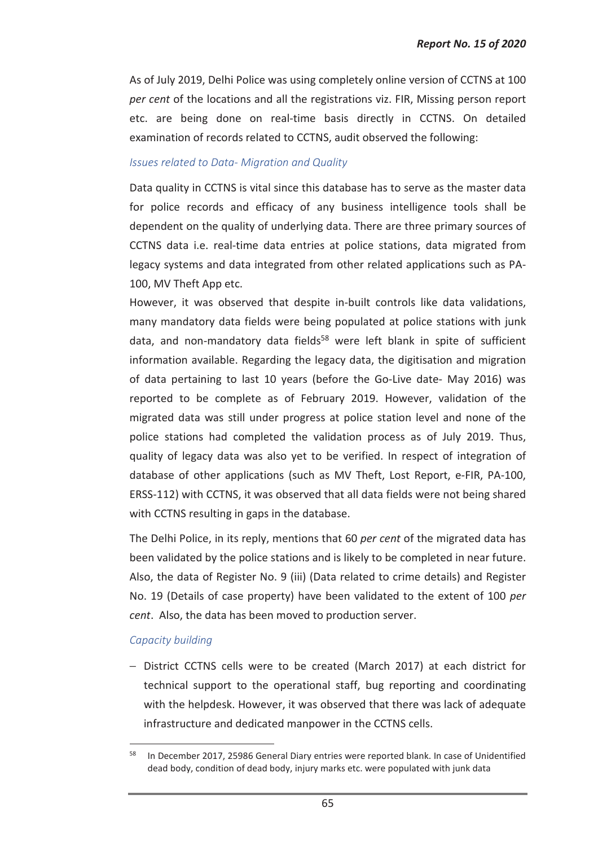As of July 2019, Delhi Police was using completely online version of CCTNS at 100 *per cent* of the locations and all the registrations viz. FIR, Missing person report etc. are being done on real-time basis directly in CCTNS. On detailed examination of records related to CCTNS, audit observed the following:

#### *Issues related to Data- Migration and Quality*

Data quality in CCTNS is vital since this database has to serve as the master data for police records and efficacy of any business intelligence tools shall be dependent on the quality of underlying data. There are three primary sources of CCTNS data i.e. real-time data entries at police stations, data migrated from legacy systems and data integrated from other related applications such as PA-100, MV Theft App etc.

However, it was observed that despite in-built controls like data validations, many mandatory data fields were being populated at police stations with junk data, and non-mandatory data fields<sup>58</sup> were left blank in spite of sufficient information available. Regarding the legacy data, the digitisation and migration of data pertaining to last 10 years (before the Go-Live date- May 2016) was reported to be complete as of February 2019. However, validation of the migrated data was still under progress at police station level and none of the police stations had completed the validation process as of July 2019. Thus, quality of legacy data was also yet to be verified. In respect of integration of database of other applications (such as MV Theft, Lost Report, e-FIR, PA-100, ERSS-112) with CCTNS, it was observed that all data fields were not being shared with CCTNS resulting in gaps in the database.

The Delhi Police, in its reply, mentions that 60 *per cent* of the migrated data has been validated by the police stations and is likely to be completed in near future. Also, the data of Register No. 9 (iii) (Data related to crime details) and Register No. 19 (Details of case property) have been validated to the extent of 100 *per cent*. Also, the data has been moved to production server.

#### *Capacity building*

 $\overline{a}$ 

− District CCTNS cells were to be created (March 2017) at each district for technical support to the operational staff, bug reporting and coordinating with the helpdesk. However, it was observed that there was lack of adequate infrastructure and dedicated manpower in the CCTNS cells.

<sup>&</sup>lt;sup>58</sup> In December 2017, 25986 General Diary entries were reported blank. In case of Unidentified dead body, condition of dead body, injury marks etc. were populated with junk data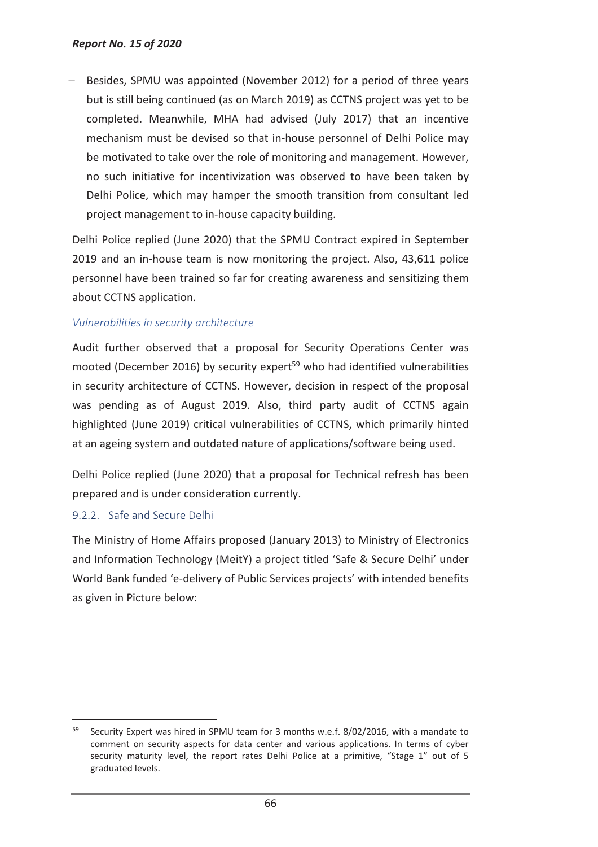Besides, SPMU was appointed (November 2012) for a period of three years but is still being continued (as on March 2019) as CCTNS project was yet to be completed. Meanwhile, MHA had advised (July 2017) that an incentive mechanism must be devised so that in-house personnel of Delhi Police may be motivated to take over the role of monitoring and management. However, no such initiative for incentivization was observed to have been taken by Delhi Police, which may hamper the smooth transition from consultant led project management to in-house capacity building.

Delhi Police replied (June 2020) that the SPMU Contract expired in September 2019 and an in-house team is now monitoring the project. Also, 43,611 police personnel have been trained so far for creating awareness and sensitizing them about CCTNS application.

#### *Vulnerabilities in security architecture*

Audit further observed that a proposal for Security Operations Center was mooted (December 2016) by security expert<sup>59</sup> who had identified vulnerabilities in security architecture of CCTNS. However, decision in respect of the proposal was pending as of August 2019. Also, third party audit of CCTNS again highlighted (June 2019) critical vulnerabilities of CCTNS, which primarily hinted at an ageing system and outdated nature of applications/software being used.

Delhi Police replied (June 2020) that a proposal for Technical refresh has been prepared and is under consideration currently.

## 9.2.2. Safe and Secure Delhi

 $\overline{a}$ 

The Ministry of Home Affairs proposed (January 2013) to Ministry of Electronics and Information Technology (MeitY) a project titled 'Safe & Secure Delhi' under World Bank funded 'e-delivery of Public Services projects' with intended benefits as given in Picture below:

 $59$  Security Expert was hired in SPMU team for 3 months w.e.f. 8/02/2016, with a mandate to comment on security aspects for data center and various applications. In terms of cyber security maturity level, the report rates Delhi Police at a primitive, "Stage 1" out of 5 graduated levels.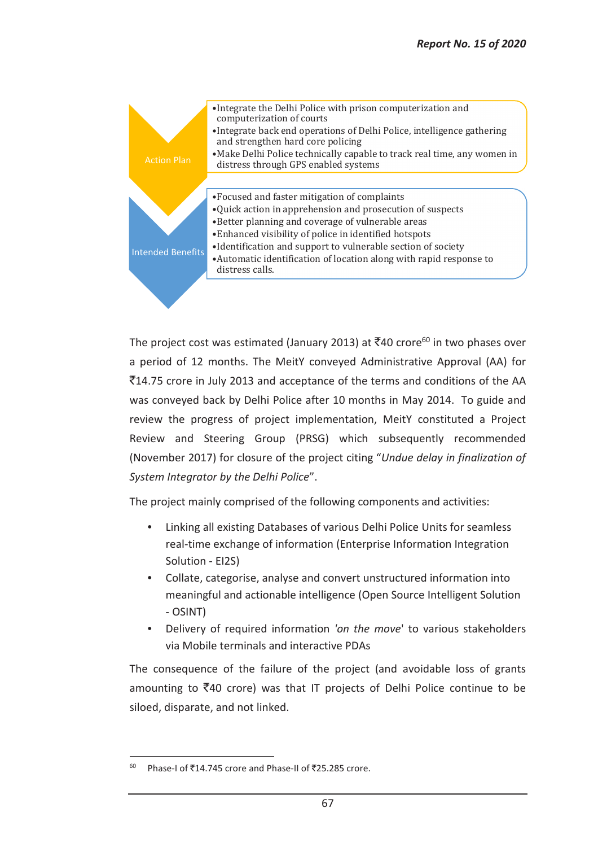

The project cost was estimated (January 2013) at  $\overline{\zeta}$ 40 crore<sup>60</sup> in two phases over a period of 12 months. The MeitY conveyed Administrative Approval (AA) for `14.75 crore in July 2013 and acceptance of the terms and conditions of the AA was conveyed back by Delhi Police after 10 months in May 2014. To guide and review the progress of project implementation, MeitY constituted a Project Review and Steering Group (PRSG) which subsequently recommended (November 2017) for closure of the project citing "*Undue delay in finalization of System Integrator by the Delhi Police*".

The project mainly comprised of the following components and activities:

- Linking all existing Databases of various Delhi Police Units for seamless real-time exchange of information (Enterprise Information Integration Solution - EI2S)
- Collate, categorise, analyse and convert unstructured information into meaningful and actionable intelligence (Open Source Intelligent Solution - OSINT)
- Delivery of required information *'on the move*' to various stakeholders via Mobile terminals and interactive PDAs

The consequence of the failure of the project (and avoidable loss of grants amounting to  $\overline{z}$ 40 crore) was that IT projects of Delhi Police continue to be siloed, disparate, and not linked.

 $60$  Phase-I of ₹14.745 crore and Phase-II of ₹25.285 crore.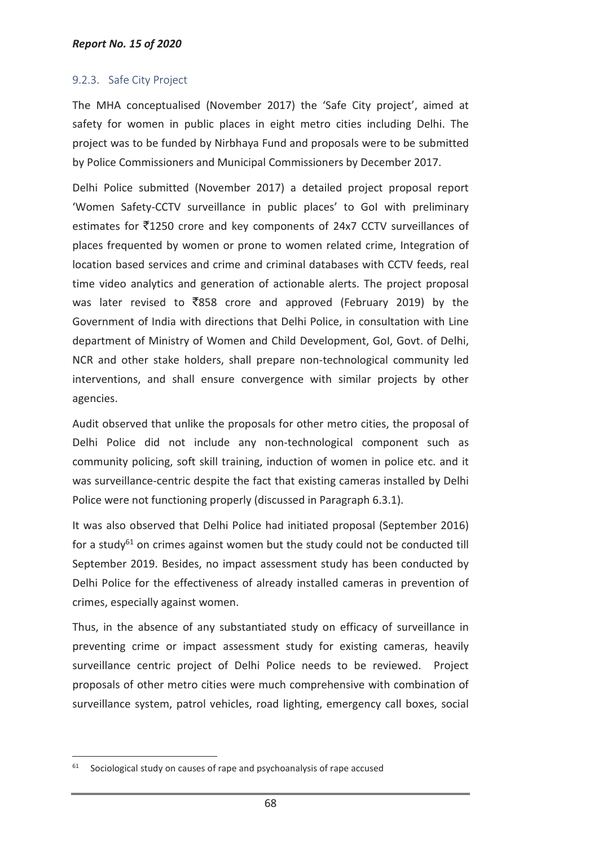## 9.2.3. Safe City Project

The MHA conceptualised (November 2017) the 'Safe City project', aimed at safety for women in public places in eight metro cities including Delhi. The project was to be funded by Nirbhaya Fund and proposals were to be submitted by Police Commissioners and Municipal Commissioners by December 2017.

Delhi Police submitted (November 2017) a detailed project proposal report 'Women Safety-CCTV surveillance in public places' to GoI with preliminary estimates for  $\overline{5}1250$  crore and key components of 24x7 CCTV surveillances of places frequented by women or prone to women related crime, Integration of location based services and crime and criminal databases with CCTV feeds, real time video analytics and generation of actionable alerts. The project proposal was later revised to  $\overline{8}858$  crore and approved (February 2019) by the Government of India with directions that Delhi Police, in consultation with Line department of Ministry of Women and Child Development, GoI, Govt. of Delhi, NCR and other stake holders, shall prepare non-technological community led interventions, and shall ensure convergence with similar projects by other agencies.

Audit observed that unlike the proposals for other metro cities, the proposal of Delhi Police did not include any non-technological component such as community policing, soft skill training, induction of women in police etc. and it was surveillance-centric despite the fact that existing cameras installed by Delhi Police were not functioning properly (discussed in Paragraph 6.3.1).

It was also observed that Delhi Police had initiated proposal (September 2016) for a study<sup>61</sup> on crimes against women but the study could not be conducted till September 2019. Besides, no impact assessment study has been conducted by Delhi Police for the effectiveness of already installed cameras in prevention of crimes, especially against women.

Thus, in the absence of any substantiated study on efficacy of surveillance in preventing crime or impact assessment study for existing cameras, heavily surveillance centric project of Delhi Police needs to be reviewed. Project proposals of other metro cities were much comprehensive with combination of surveillance system, patrol vehicles, road lighting, emergency call boxes, social

 $61$  Sociological study on causes of rape and psychoanalysis of rape accused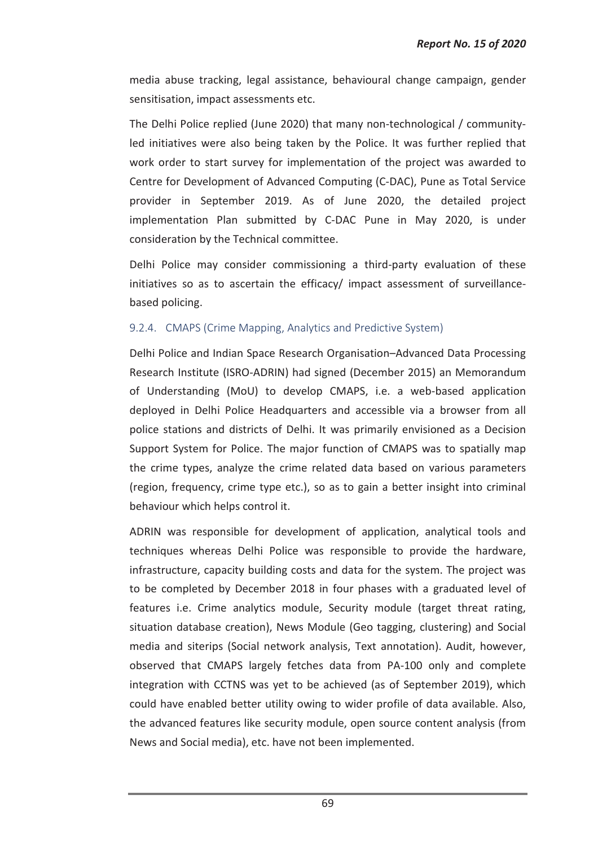media abuse tracking, legal assistance, behavioural change campaign, gender sensitisation, impact assessments etc.

The Delhi Police replied (June 2020) that many non-technological / communityled initiatives were also being taken by the Police. It was further replied that work order to start survey for implementation of the project was awarded to Centre for Development of Advanced Computing (C-DAC), Pune as Total Service provider in September 2019. As of June 2020, the detailed project implementation Plan submitted by C-DAC Pune in May 2020, is under consideration by the Technical committee.

Delhi Police may consider commissioning a third-party evaluation of these initiatives so as to ascertain the efficacy/ impact assessment of surveillancebased policing.

#### 9.2.4. CMAPS (Crime Mapping, Analytics and Predictive System)

Delhi Police and Indian Space Research Organisation–Advanced Data Processing Research Institute (ISRO-ADRIN) had signed (December 2015) an Memorandum of Understanding (MoU) to develop CMAPS, i.e. a web-based application deployed in Delhi Police Headquarters and accessible via a browser from all police stations and districts of Delhi. It was primarily envisioned as a Decision Support System for Police. The major function of CMAPS was to spatially map the crime types, analyze the crime related data based on various parameters (region, frequency, crime type etc.), so as to gain a better insight into criminal behaviour which helps control it.

ADRIN was responsible for development of application, analytical tools and techniques whereas Delhi Police was responsible to provide the hardware, infrastructure, capacity building costs and data for the system. The project was to be completed by December 2018 in four phases with a graduated level of features i.e. Crime analytics module, Security module (target threat rating, situation database creation), News Module (Geo tagging, clustering) and Social media and siterips (Social network analysis, Text annotation). Audit, however, observed that CMAPS largely fetches data from PA-100 only and complete integration with CCTNS was yet to be achieved (as of September 2019), which could have enabled better utility owing to wider profile of data available. Also, the advanced features like security module, open source content analysis (from News and Social media), etc. have not been implemented.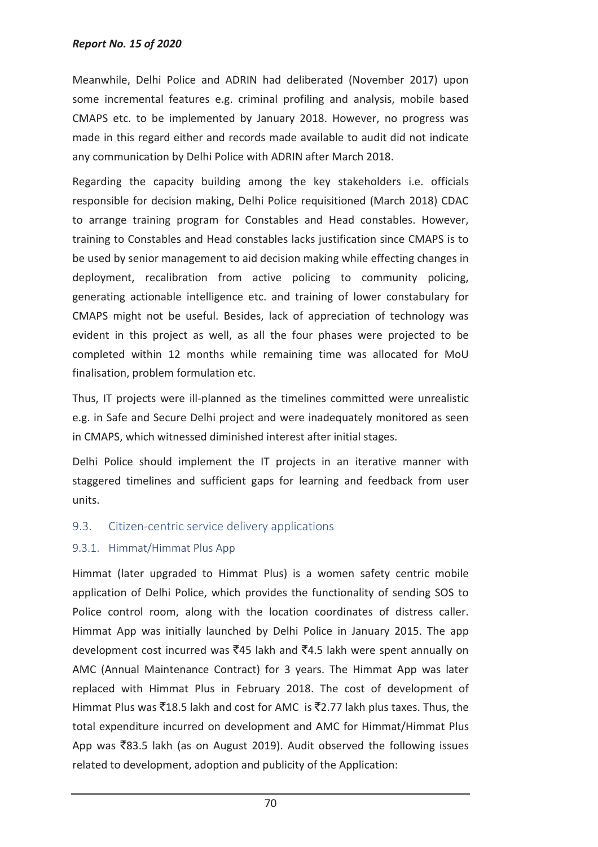Meanwhile, Delhi Police and ADRIN had deliberated (November 2017) upon some incremental features e.g. criminal profiling and analysis, mobile based CMAPS etc. to be implemented by January 2018. However, no progress was made in this regard either and records made available to audit did not indicate any communication by Delhi Police with ADRIN after March 2018.

Regarding the capacity building among the key stakeholders i.e. officials responsible for decision making, Delhi Police requisitioned (March 2018) CDAC to arrange training program for Constables and Head constables. However, training to Constables and Head constables lacks justification since CMAPS is to be used by senior management to aid decision making while effecting changes in deployment, recalibration from active policing to community policing, generating actionable intelligence etc. and training of lower constabulary for CMAPS might not be useful. Besides, lack of appreciation of technology was evident in this project as well, as all the four phases were projected to be completed within 12 months while remaining time was allocated for MoU finalisation, problem formulation etc.

Thus, IT projects were ill-planned as the timelines committed were unrealistic e.g. in Safe and Secure Delhi project and were inadequately monitored as seen in CMAPS, which witnessed diminished interest after initial stages.

Delhi Police should implement the IT projects in an iterative manner with staggered timelines and sufficient gaps for learning and feedback from user units.

# 9.3. Citizen-centric service delivery applications

# 9.3.1. Himmat/Himmat Plus App

Himmat (later upgraded to Himmat Plus) is a women safety centric mobile application of Delhi Police, which provides the functionality of sending SOS to Police control room, along with the location coordinates of distress caller. Himmat App was initially launched by Delhi Police in January 2015. The app development cost incurred was  $\bar{z}$ 45 lakh and  $\bar{z}$ 4.5 lakh were spent annually on AMC (Annual Maintenance Contract) for 3 years. The Himmat App was later replaced with Himmat Plus in February 2018. The cost of development of Himmat Plus was  $\overline{5}18.5$  lakh and cost for AMC is  $\overline{5}2.77$  lakh plus taxes. Thus, the total expenditure incurred on development and AMC for Himmat/Himmat Plus App was  $\bar{z}83.5$  lakh (as on August 2019). Audit observed the following issues related to development, adoption and publicity of the Application: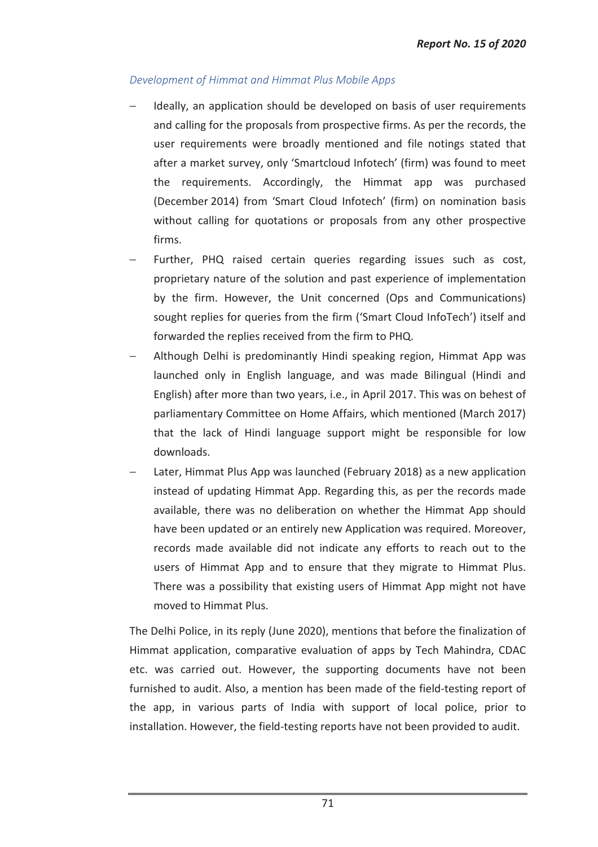## *Development of Himmat and Himmat Plus Mobile Apps*

- − Ideally, an application should be developed on basis of user requirements and calling for the proposals from prospective firms. As per the records, the user requirements were broadly mentioned and file notings stated that after a market survey, only 'Smartcloud Infotech' (firm) was found to meet the requirements. Accordingly, the Himmat app was purchased (December 2014) from 'Smart Cloud Infotech' (firm) on nomination basis without calling for quotations or proposals from any other prospective firms.
- Further, PHQ raised certain queries regarding issues such as cost, proprietary nature of the solution and past experience of implementation by the firm. However, the Unit concerned (Ops and Communications) sought replies for queries from the firm ('Smart Cloud InfoTech') itself and forwarded the replies received from the firm to PHQ.
- − Although Delhi is predominantly Hindi speaking region, Himmat App was launched only in English language, and was made Bilingual (Hindi and English) after more than two years, i.e., in April 2017. This was on behest of parliamentary Committee on Home Affairs, which mentioned (March 2017) that the lack of Hindi language support might be responsible for low downloads.
- Later, Himmat Plus App was launched (February 2018) as a new application instead of updating Himmat App. Regarding this, as per the records made available, there was no deliberation on whether the Himmat App should have been updated or an entirely new Application was required. Moreover, records made available did not indicate any efforts to reach out to the users of Himmat App and to ensure that they migrate to Himmat Plus. There was a possibility that existing users of Himmat App might not have moved to Himmat Plus.

The Delhi Police, in its reply (June 2020), mentions that before the finalization of Himmat application, comparative evaluation of apps by Tech Mahindra, CDAC etc. was carried out. However, the supporting documents have not been furnished to audit. Also, a mention has been made of the field-testing report of the app, in various parts of India with support of local police, prior to installation. However, the field-testing reports have not been provided to audit.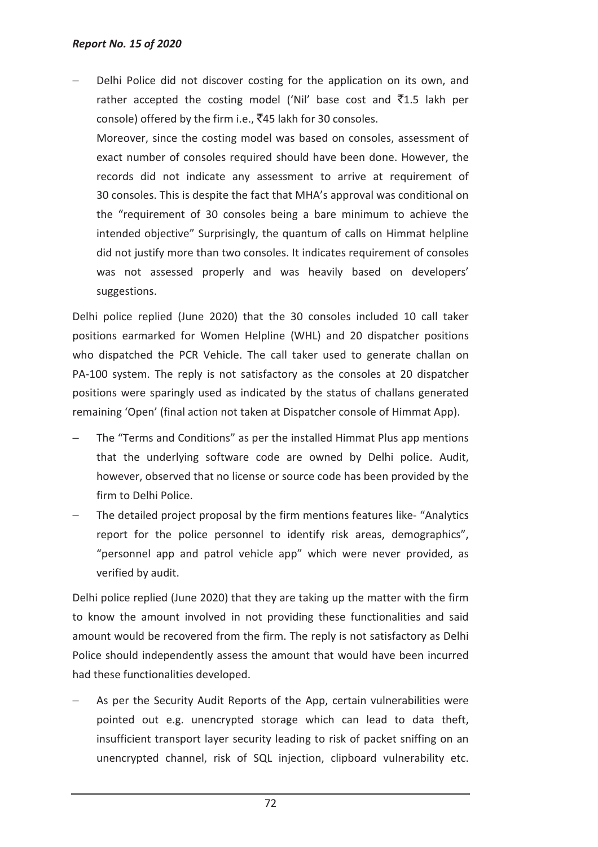Delhi Police did not discover costing for the application on its own, and rather accepted the costing model ('Nil' base cost and  $\bar{z}$ 1.5 lakh per console) offered by the firm i.e.,  $\bar{z}$ 45 lakh for 30 consoles.

Moreover, since the costing model was based on consoles, assessment of exact number of consoles required should have been done. However, the records did not indicate any assessment to arrive at requirement of 30 consoles. This is despite the fact that MHA's approval was conditional on the "requirement of 30 consoles being a bare minimum to achieve the intended objective" Surprisingly, the quantum of calls on Himmat helpline did not justify more than two consoles. It indicates requirement of consoles was not assessed properly and was heavily based on developers' suggestions.

Delhi police replied (June 2020) that the 30 consoles included 10 call taker positions earmarked for Women Helpline (WHL) and 20 dispatcher positions who dispatched the PCR Vehicle. The call taker used to generate challan on PA-100 system. The reply is not satisfactory as the consoles at 20 dispatcher positions were sparingly used as indicated by the status of challans generated remaining 'Open' (final action not taken at Dispatcher console of Himmat App).

- The "Terms and Conditions" as per the installed Himmat Plus app mentions that the underlying software code are owned by Delhi police. Audit, however, observed that no license or source code has been provided by the firm to Delhi Police.
- The detailed project proposal by the firm mentions features like- "Analytics report for the police personnel to identify risk areas, demographics", "personnel app and patrol vehicle app" which were never provided, as verified by audit.

Delhi police replied (June 2020) that they are taking up the matter with the firm to know the amount involved in not providing these functionalities and said amount would be recovered from the firm. The reply is not satisfactory as Delhi Police should independently assess the amount that would have been incurred had these functionalities developed.

As per the Security Audit Reports of the App, certain vulnerabilities were pointed out e.g. unencrypted storage which can lead to data theft, insufficient transport layer security leading to risk of packet sniffing on an unencrypted channel, risk of SQL injection, clipboard vulnerability etc.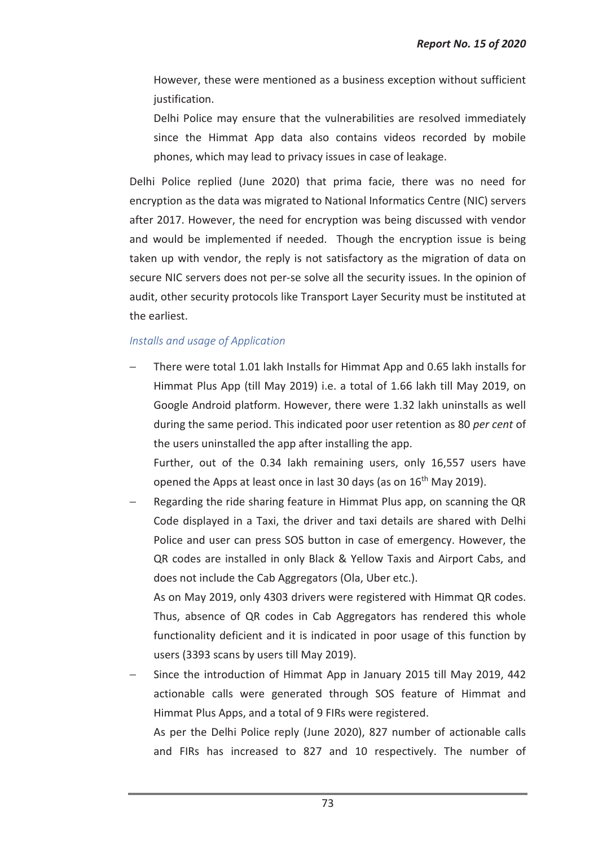- However, these were mentioned as a business exception without sufficient justification.
- Delhi Police may ensure that the vulnerabilities are resolved immediately since the Himmat App data also contains videos recorded by mobile phones, which may lead to privacy issues in case of leakage.

Delhi Police replied (June 2020) that prima facie, there was no need for encryption as the data was migrated to National Informatics Centre (NIC) servers after 2017. However, the need for encryption was being discussed with vendor and would be implemented if needed. Though the encryption issue is being taken up with vendor, the reply is not satisfactory as the migration of data on secure NIC servers does not per-se solve all the security issues. In the opinion of audit, other security protocols like Transport Layer Security must be instituted at the earliest.

#### *Installs and usage of Application*

There were total 1.01 lakh Installs for Himmat App and 0.65 lakh installs for Himmat Plus App (till May 2019) i.e. a total of 1.66 lakh till May 2019, on Google Android platform. However, there were 1.32 lakh uninstalls as well during the same period. This indicated poor user retention as 80 *per cent* of the users uninstalled the app after installing the app.

Further, out of the 0.34 lakh remaining users, only 16,557 users have opened the Apps at least once in last 30 days (as on  $16<sup>th</sup>$  May 2019).

− Regarding the ride sharing feature in Himmat Plus app, on scanning the QR Code displayed in a Taxi, the driver and taxi details are shared with Delhi Police and user can press SOS button in case of emergency. However, the QR codes are installed in only Black & Yellow Taxis and Airport Cabs, and does not include the Cab Aggregators (Ola, Uber etc.).

As on May 2019, only 4303 drivers were registered with Himmat QR codes. Thus, absence of QR codes in Cab Aggregators has rendered this whole functionality deficient and it is indicated in poor usage of this function by users (3393 scans by users till May 2019).

Since the introduction of Himmat App in January 2015 till May 2019, 442 actionable calls were generated through SOS feature of Himmat and Himmat Plus Apps, and a total of 9 FIRs were registered. As per the Delhi Police reply (June 2020), 827 number of actionable calls

and FIRs has increased to 827 and 10 respectively. The number of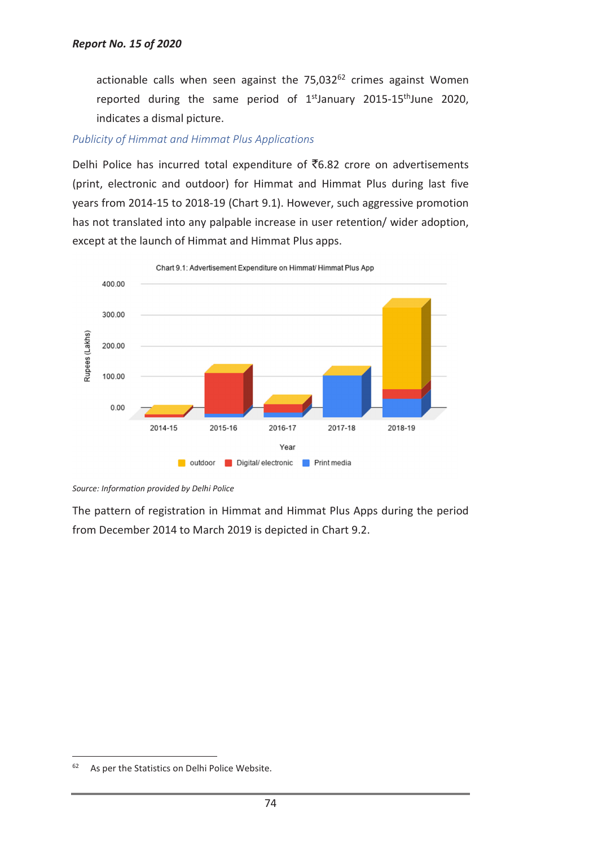actionable calls when seen against the  $75,032^{62}$  crimes against Women reported during the same period of  $1^{st}$ January 2015-15<sup>th</sup>June 2020, indicates a dismal picture.

#### *Publicity of Himmat and Himmat Plus Applications*

Delhi Police has incurred total expenditure of ₹6.82 crore on advertisements (print, electronic and outdoor) for Himmat and Himmat Plus during last five years from 2014-15 to 2018-19 (Chart 9.1). However, such aggressive promotion has not translated into any palpable increase in user retention/ wider adoption, except at the launch of Himmat and Himmat Plus apps.



Chart 9.1: Advertisement Expenditure on Himmat/ Himmat Plus App

The pattern of registration in Himmat and Himmat Plus Apps during the period from December 2014 to March 2019 is depicted in Chart 9.2.

*Source: Information provided by Delhi Police* 

 $62$  As per the Statistics on Delhi Police Website.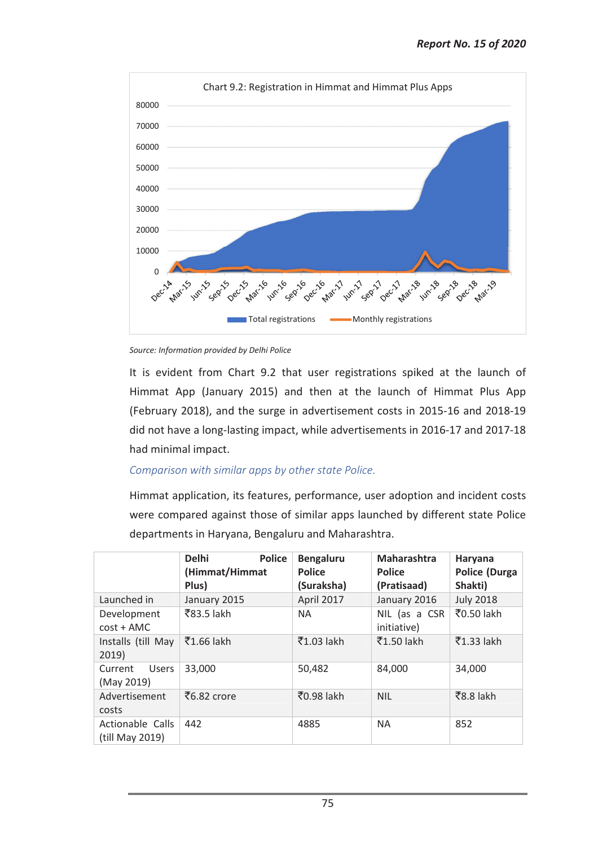

*Source: Information provided by Delhi Police* 

It is evident from Chart 9.2 that user registrations spiked at the launch of Himmat App (January 2015) and then at the launch of Himmat Plus App (February 2018), and the surge in advertisement costs in 2015-16 and 2018-19 did not have a long-lasting impact, while advertisements in 2016-17 and 2017-18 had minimal impact.

## *Comparison with similar apps by other state Police.*

Himmat application, its features, performance, user adoption and incident costs were compared against those of similar apps launched by different state Police departments in Haryana, Bengaluru and Maharashtra.

|                                     | <b>Police</b><br><b>Delhi</b><br>(Himmat/Himmat<br>Plus) | <b>Bengaluru</b><br><b>Police</b><br>(Suraksha) | <b>Maharashtra</b><br><b>Police</b><br>(Pratisaad) | Haryana<br><b>Police (Durga</b><br>Shakti) |
|-------------------------------------|----------------------------------------------------------|-------------------------------------------------|----------------------------------------------------|--------------------------------------------|
| Launched in                         | January 2015                                             | April 2017                                      | January 2016                                       | <b>July 2018</b>                           |
| Development<br>$cost + AMC$         | ₹83.5 lakh                                               | <b>NA</b>                                       | NIL (as a CSR<br>initiative)                       | ₹0.50 lakh                                 |
| Installs (till May<br>2019)         | $\bar{5}1.66$ lakh                                       | ₹1.03 lakh                                      | ₹1.50 lakh                                         | ₹1.33 lakh                                 |
| Users<br>Current<br>(May 2019)      | 33,000                                                   | 50,482                                          | 84,000                                             | 34,000                                     |
| Advertisement<br>costs              | र्टै6.82 crore                                           | ₹0.98 lakh                                      | <b>NIL</b>                                         | $\overline{58.8}$ lakh                     |
| Actionable Calls<br>(till May 2019) | 442                                                      | 4885                                            | <b>NA</b>                                          | 852                                        |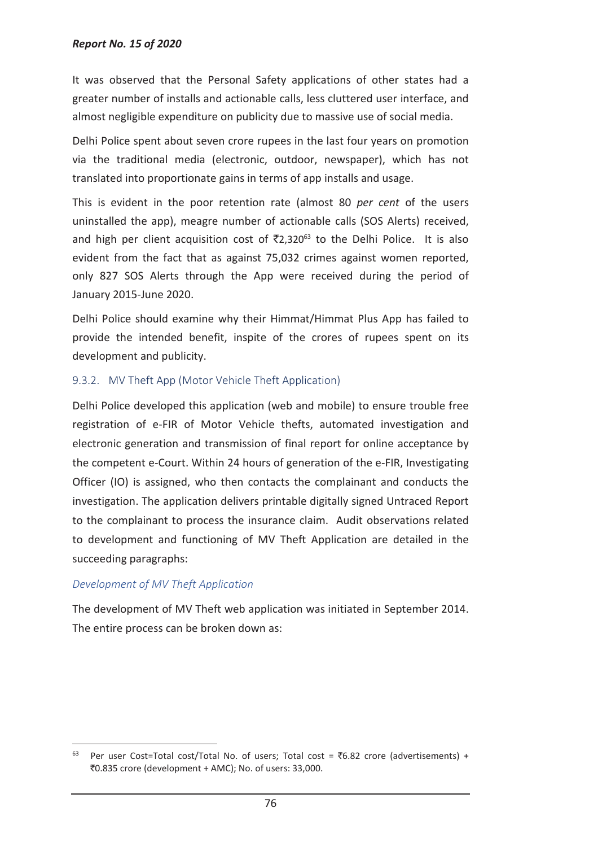#### *Report No. 15 of 2020*

It was observed that the Personal Safety applications of other states had a greater number of installs and actionable calls, less cluttered user interface, and almost negligible expenditure on publicity due to massive use of social media.

Delhi Police spent about seven crore rupees in the last four years on promotion via the traditional media (electronic, outdoor, newspaper), which has not translated into proportionate gains in terms of app installs and usage.

This is evident in the poor retention rate (almost 80 *per cent* of the users uninstalled the app), meagre number of actionable calls (SOS Alerts) received, and high per client acquisition cost of  $\bar{\mathfrak{T}}2.320^{63}$  to the Delhi Police. It is also evident from the fact that as against 75,032 crimes against women reported, only 827 SOS Alerts through the App were received during the period of January 2015-June 2020.

Delhi Police should examine why their Himmat/Himmat Plus App has failed to provide the intended benefit, inspite of the crores of rupees spent on its development and publicity.

#### 9.3.2. MV Theft App (Motor Vehicle Theft Application)

Delhi Police developed this application (web and mobile) to ensure trouble free registration of e-FIR of Motor Vehicle thefts, automated investigation and electronic generation and transmission of final report for online acceptance by the competent e-Court. Within 24 hours of generation of the e-FIR, Investigating Officer (IO) is assigned, who then contacts the complainant and conducts the investigation. The application delivers printable digitally signed Untraced Report to the complainant to process the insurance claim. Audit observations related to development and functioning of MV Theft Application are detailed in the succeeding paragraphs:

#### *Development of MV Theft Application*

 $\overline{a}$ 

The development of MV Theft web application was initiated in September 2014. The entire process can be broken down as:

Per user Cost=Total cost/Total No. of users; Total cost =  $\overline{6.82}$  crore (advertisements) + `0.835 crore (development + AMC); No. of users: 33,000.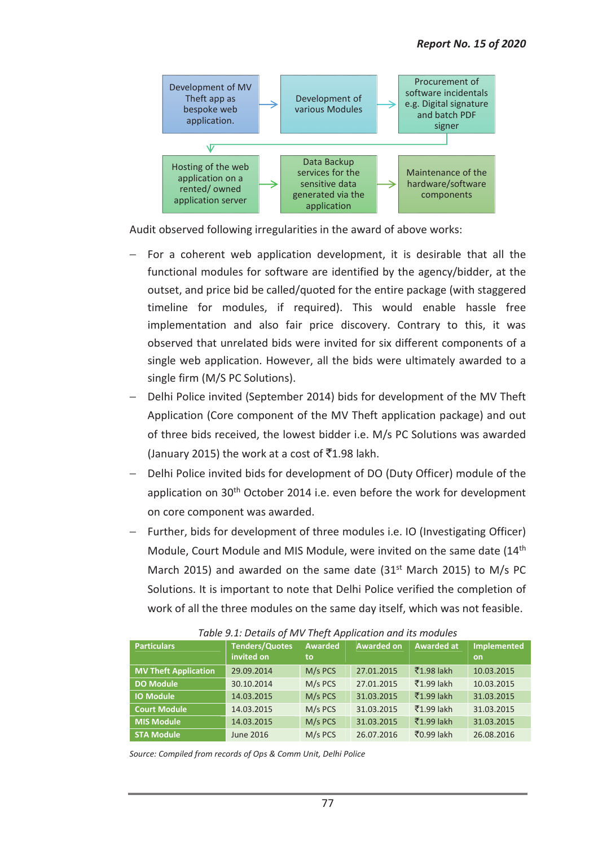

Audit observed following irregularities in the award of above works:

- For a coherent web application development, it is desirable that all the functional modules for software are identified by the agency/bidder, at the outset, and price bid be called/quoted for the entire package (with staggered timeline for modules, if required). This would enable hassle free implementation and also fair price discovery. Contrary to this, it was observed that unrelated bids were invited for six different components of a single web application. However, all the bids were ultimately awarded to a single firm (M/S PC Solutions).
- Delhi Police invited (September 2014) bids for development of the MV Theft Application (Core component of the MV Theft application package) and out of three bids received, the lowest bidder i.e. M/s PC Solutions was awarded (January 2015) the work at a cost of  $\bar{5}1.98$  lakh.
- − Delhi Police invited bids for development of DO (Duty Officer) module of the application on 30<sup>th</sup> October 2014 i.e. even before the work for development on core component was awarded.
- − Further, bids for development of three modules i.e. IO (Investigating Officer) Module, Court Module and MIS Module, were invited on the same date (14th March 2015) and awarded on the same date  $(31<sup>st</sup>$  March 2015) to M/s PC Solutions. It is important to note that Delhi Police verified the completion of work of all the three modules on the same day itself, which was not feasible.

| <b>Particulars</b>          | <b>Tenders/Quotes</b><br>invited on | Awarded<br>to | <b>Awarded on</b> | <b>Awarded at</b>       | <b>Implemented</b><br><b>on</b> |
|-----------------------------|-------------------------------------|---------------|-------------------|-------------------------|---------------------------------|
| <b>MV Theft Application</b> | 29.09.2014                          | M/s PCS       | 27.01.2015        | ₹1.98 lakh              | 10.03.2015                      |
| <b>DO Module</b>            | 30.10.2014                          | M/s PCS       | 27.01.2015        | $\overline{5}1.99$ lakh | 10.03.2015                      |
| <b>IO Module</b>            | 14.03.2015                          | M/s PCS       | 31.03.2015        | ₹1.99 lakh              | 31.03.2015                      |
| <b>Court Module</b>         | 14.03.2015                          | M/s PCS       | 31.03.2015        | ₹1.99 lakh              | 31.03.2015                      |
| <b>MIS Module</b>           | 14.03.2015                          | M/s PCS       | 31.03.2015        | $\overline{5}1.99$ lakh | 31.03.2015                      |
| <b>STA Module</b>           | <b>June 2016</b>                    | M/s PCS       | 26.07.2016        | ₹0.99 lakh              | 26.08.2016                      |

*Table 9.1: Details of MV Theft Application and its modules* 

*Source: Compiled from records of Ops & Comm Unit, Delhi Police*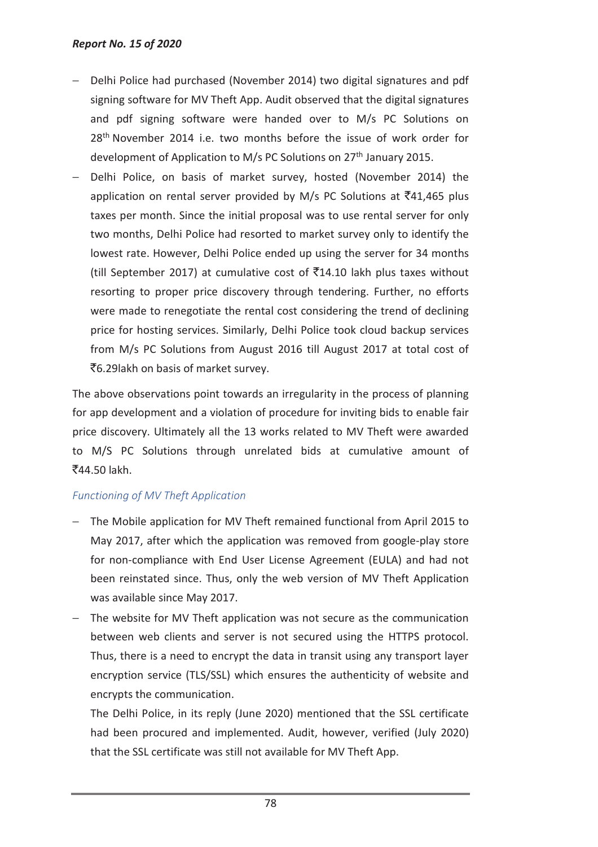- − Delhi Police had purchased (November 2014) two digital signatures and pdf signing software for MV Theft App. Audit observed that the digital signatures and pdf signing software were handed over to M/s PC Solutions on 28<sup>th</sup> November 2014 i.e. two months before the issue of work order for development of Application to M/s PC Solutions on 27<sup>th</sup> January 2015.
- Delhi Police, on basis of market survey, hosted (November 2014) the application on rental server provided by M/s PC Solutions at  $\bar{z}$ 41,465 plus taxes per month. Since the initial proposal was to use rental server for only two months, Delhi Police had resorted to market survey only to identify the lowest rate. However, Delhi Police ended up using the server for 34 months (till September 2017) at cumulative cost of  $\bar{\tau}$ 14.10 lakh plus taxes without resorting to proper price discovery through tendering. Further, no efforts were made to renegotiate the rental cost considering the trend of declining price for hosting services. Similarly, Delhi Police took cloud backup services from M/s PC Solutions from August 2016 till August 2017 at total cost of `6.29lakh on basis of market survey.

The above observations point towards an irregularity in the process of planning for app development and a violation of procedure for inviting bids to enable fair price discovery. Ultimately all the 13 works related to MV Theft were awarded to M/S PC Solutions through unrelated bids at cumulative amount of `44.50 lakh.

# *Functioning of MV Theft Application*

- − The Mobile application for MV Theft remained functional from April 2015 to May 2017, after which the application was removed from google-play store for non-compliance with End User License Agreement (EULA) and had not been reinstated since. Thus, only the web version of MV Theft Application was available since May 2017.
- − The website for MV Theft application was not secure as the communication between web clients and server is not secured using the HTTPS protocol. Thus, there is a need to encrypt the data in transit using any transport layer encryption service (TLS/SSL) which ensures the authenticity of website and encrypts the communication.

The Delhi Police, in its reply (June 2020) mentioned that the SSL certificate had been procured and implemented. Audit, however, verified (July 2020) that the SSL certificate was still not available for MV Theft App.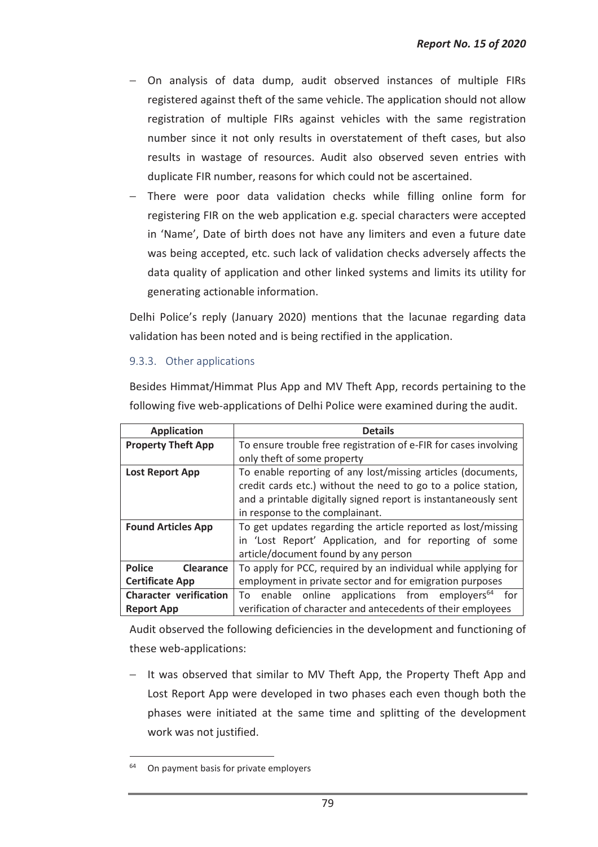- − On analysis of data dump, audit observed instances of multiple FIRs registered against theft of the same vehicle. The application should not allow registration of multiple FIRs against vehicles with the same registration number since it not only results in overstatement of theft cases, but also results in wastage of resources. Audit also observed seven entries with duplicate FIR number, reasons for which could not be ascertained.
- − There were poor data validation checks while filling online form for registering FIR on the web application e.g. special characters were accepted in 'Name', Date of birth does not have any limiters and even a future date was being accepted, etc. such lack of validation checks adversely affects the data quality of application and other linked systems and limits its utility for generating actionable information.

Delhi Police's reply (January 2020) mentions that the lacunae regarding data validation has been noted and is being rectified in the application.

## 9.3.3. Other applications

Besides Himmat/Himmat Plus App and MV Theft App, records pertaining to the following five web-applications of Delhi Police were examined during the audit.

| <b>Application</b>            | <b>Details</b>                                                    |  |  |  |
|-------------------------------|-------------------------------------------------------------------|--|--|--|
| <b>Property Theft App</b>     | To ensure trouble free registration of e-FIR for cases involving  |  |  |  |
|                               | only theft of some property                                       |  |  |  |
| <b>Lost Report App</b>        | To enable reporting of any lost/missing articles (documents,      |  |  |  |
|                               | credit cards etc.) without the need to go to a police station,    |  |  |  |
|                               | and a printable digitally signed report is instantaneously sent   |  |  |  |
|                               | in response to the complainant.                                   |  |  |  |
| <b>Found Articles App</b>     | To get updates regarding the article reported as lost/missing     |  |  |  |
|                               | in 'Lost Report' Application, and for reporting of some           |  |  |  |
|                               | article/document found by any person                              |  |  |  |
| Police<br><b>Clearance</b>    | To apply for PCC, required by an individual while applying for    |  |  |  |
| <b>Certificate App</b>        | employment in private sector and for emigration purposes          |  |  |  |
| <b>Character verification</b> | To enable online applications from employers <sup>64</sup><br>for |  |  |  |
| <b>Report App</b>             | verification of character and antecedents of their employees      |  |  |  |

Audit observed the following deficiencies in the development and functioning of these web-applications:

− It was observed that similar to MV Theft App, the Property Theft App and Lost Report App were developed in two phases each even though both the phases were initiated at the same time and splitting of the development work was not justified.

On payment basis for private employers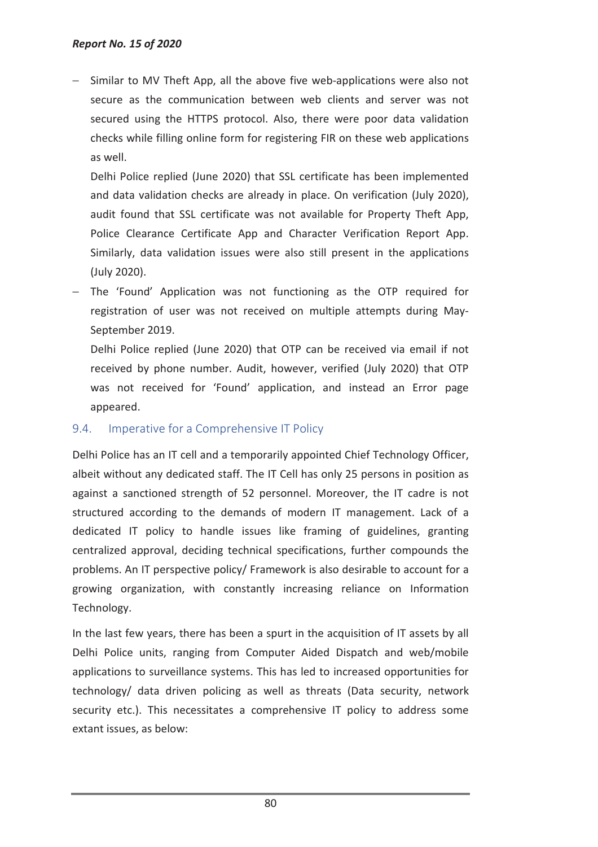Similar to MV Theft App, all the above five web-applications were also not secure as the communication between web clients and server was not secured using the HTTPS protocol. Also, there were poor data validation checks while filling online form for registering FIR on these web applications as well.

Delhi Police replied (June 2020) that SSL certificate has been implemented and data validation checks are already in place. On verification (July 2020), audit found that SSL certificate was not available for Property Theft App, Police Clearance Certificate App and Character Verification Report App. Similarly, data validation issues were also still present in the applications (July 2020).

− The 'Found' Application was not functioning as the OTP required for registration of user was not received on multiple attempts during May-September 2019.

Delhi Police replied (June 2020) that OTP can be received via email if not received by phone number. Audit, however, verified (July 2020) that OTP was not received for 'Found' application, and instead an Error page appeared.

## 9.4. Imperative for a Comprehensive IT Policy

Delhi Police has an IT cell and a temporarily appointed Chief Technology Officer, albeit without any dedicated staff. The IT Cell has only 25 persons in position as against a sanctioned strength of 52 personnel. Moreover, the IT cadre is not structured according to the demands of modern IT management. Lack of a dedicated IT policy to handle issues like framing of guidelines, granting centralized approval, deciding technical specifications, further compounds the problems. An IT perspective policy/ Framework is also desirable to account for a growing organization, with constantly increasing reliance on Information Technology.

In the last few years, there has been a spurt in the acquisition of IT assets by all Delhi Police units, ranging from Computer Aided Dispatch and web/mobile applications to surveillance systems. This has led to increased opportunities for technology/ data driven policing as well as threats (Data security, network security etc.). This necessitates a comprehensive IT policy to address some extant issues, as below: